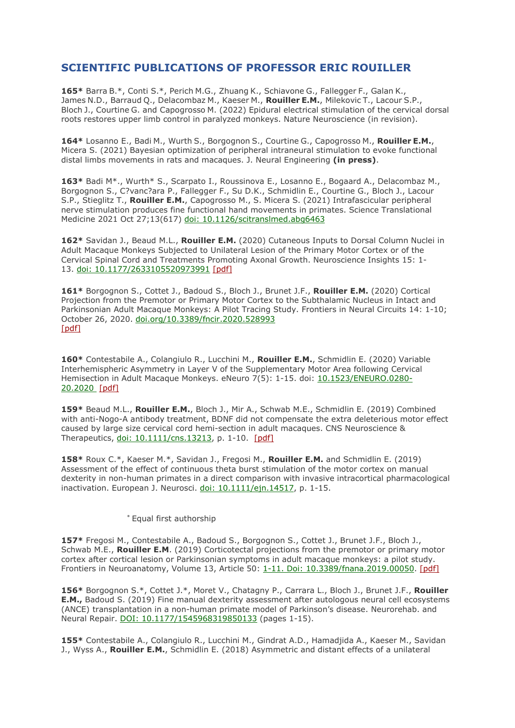## **SCIENTIFIC PUBLICATIONS OF PROFESSOR ERIC ROUILLER**

**165\*** Barra B.\*, Conti S.\*, Perich M.G., Zhuang K., Schiavone G., Fallegger F., Galan K., James N.D., Barraud Q., Delacombaz M., Kaeser M., **Rouiller E.M.**, Milekovic T., Lacour S.P., Bloch J., Courtine G. and Capogrosso M. (2022) Epidural electrical stimulation of the cervical dorsal roots restores upper limb control in paralyzed monkeys. Nature Neuroscience (in revision).

**164\*** Losanno E., Badi M., Wurth S., Borgognon S., Courtine G., Capogrosso M., **Rouiller E.M.**, Micera S. (2021) Bayesian optimization of peripheral intraneural stimulation to evoke functional distal limbs movements in rats and macaques. J. Neural Engineering **(in press)**.

**163\*** Badi M\*., Wurth\* S., Scarpato I., Roussinova E., Losanno E., Bogaard A., Delacombaz M., Borgognon S., C?vanc?ara P., Fallegger F., Su D.K., Schmidlin E., Courtine G., Bloch J., Lacour S.P., Stieglitz T., **Rouiller E.M.**, Capogrosso M., S. Micera S. (2021) Intrafascicular peripheral nerve stimulation produces fine functional hand movements in primates. Science Translational Medicine 2021 Oct 27;13(617) [doi: 10.1126/scitranslmed.abg6463](https://pubmed.ncbi.nlm.nih.gov/34705521/)

**162\*** Savidan J., Beaud M.L., **Rouiller E.M.** (2020) Cutaneous Inputs to Dorsal Column Nuclei in Adult Macaque Monkeys Subjected to Unilateral Lesion of the Primary Motor Cortex or of the Cervical Spinal Cord and Treatments Promoting Axonal Growth. Neuroscience Insights 15: 1- 13. [doi: 10.1177/2633105520973991](https://pubmed.ncbi.nlm.nih.gov/33283186/) [\[pdf\]](https://www.ncbi.nlm.nih.gov/pmc/articles/PMC7683840/)

**161\*** Borgognon S., Cottet J., Badoud S., Bloch J., Brunet J.F., **Rouiller E.M.** (2020) Cortical Projection from the Premotor or Primary Motor Cortex to the Subthalamic Nucleus in Intact and Parkinsonian Adult Macaque Monkeys: A Pilot Tracing Study. Frontiers in Neural Circuits 14: 1-10; October 26, 2020. [doi.org/10.3389/fncir.2020.528993](https://doi.org/10.3389/fncir.2020.528993) [\[pdf\]](https://www4.unifr.ch/neuro/rouiller/assets/files/articlesPDF/borgognon-et-al-2020-stn-frontiers-in-neural-circuits.pdf)

**160\*** Contestabile A., Colangiulo R., Lucchini M., **Rouiller E.M.**, Schmidlin E. (2020) Variable Interhemispheric Asymmetry in Layer V of the Supplementary Motor Area following Cervical Hemisection in Adult Macaque Monkeys. eNeuro 7(5): 1-15. doi: [10.1523/ENEURO.0280-](https://doi.org/10.1523/eneuro.0280-20.2020) [20.2020](https://doi.org/10.1523/eneuro.0280-20.2020) [\[pdf\]](https://www.eneuro.org/content/eneuro/7/5/ENEURO.0280-20.2020.full.pdf)

**159\*** Beaud M.L., **Rouiller E.M.**, Bloch J., Mir A., Schwab M.E., Schmidlin E. (2019) Combined with anti-Nogo-A antibody treatment, BDNF did not compensate the extra deleterious motor effect caused by large size cervical cord hemi-section in adult macaques. CNS Neuroscience & Therapeutics, [doi: 10.1111/cns.13213,](https://pubmed.ncbi.nlm.nih.gov/31418518/) p. 1-10. [\[pdf\]](https://www.ncbi.nlm.nih.gov/pmc/articles/PMC6978268/)

**158\*** Roux C.\*, Kaeser M.\*, Savidan J., Fregosi M., **Rouiller E.M.** and Schmidlin E. (2019) Assessment of the effect of continuous theta burst stimulation of the motor cortex on manual dexterity in non-human primates in a direct comparison with invasi[ve intracortical pharmacological](https://www.ncbi.nlm.nih.gov/pubmed/31410900)  inactivation. European J. Neurosci. [doi: 10.1111/ejn.14517,](https://pubmed.ncbi.nlm.nih.gov/31410900/) p. 1-15.

## \* Equal first authorship

**157\*** Fregosi M., Contestabile A., Badoud S., Borgognon S., Cottet J., Brunet J.F., Bloch J., Schwab M.E., **Rouiller E.M**. (2019) Corticotectal projections from the premotor or primary motor cortex after cortical lesion or Parkinsonian symptoms in adult macaque monkeys: a pilot study. Frontiers in Neuroanatomy, Volume 13, Article 50: [1-11. Doi: 10.3389/fnana.2019.00050.](https://www.frontiersin.org/articles/10.3389/fncir.2020.528993/full) [\[pdf\]](https://www4.unifr.ch/neuro/rouiller/assets/files/articlesPDF/front.neuroanat.2019-fregosi.pdf)

**156\*** Borgognon S.\*, Cottet J.\*, Moret V., Chatagny P., Carrara L., Bloch J., Brunet J.F., **Rouiller E.M.,** Badoud S. (2019) Fine manual dexterity assessment after autologous neural cell ecosystems (ANCE) transplantation in a non-human primate model of Parkinson's disease. Neurorehab. and Neural Repair. [DOI: 10.1177/1545968319850133](https://pubmed.ncbi.nlm.nih.gov/31170868/) (pages 1-15).

**155\*** Contestabile A., Colangiulo R., Lucchini M., Gindrat A.D., Hamadjida A., Kaeser M., Savidan J., Wyss A., **Rouiller E.M.**, Schmidlin E. (2018) Asymmetric and distant effects of a unilateral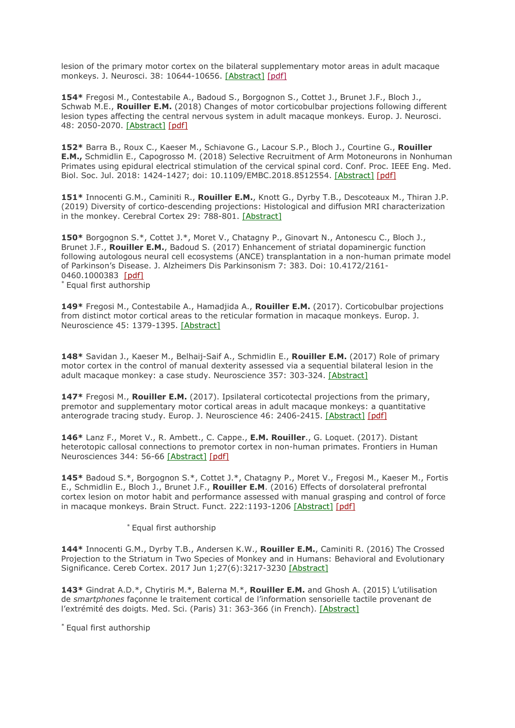lesion of the primary motor cortex on the bilateral supplementary motor areas in adult macaque monkeys. J. Neurosci. 38: 10644-10656. [\[Abstract\]](https://www.ncbi.nlm.nih.gov/pubmed/30355637) [\[pdf\]](https://www4.unifr.ch/neuro/rouiller/assets/files/articlesPDF/contestabile2018.pdf)

**154\*** Fregosi M., Contestabile A., Badoud S., Borgognon S., Cottet J., Brunet J.F., Bloch J., Schwab M.E., **Rouiller E.M.** (2018) Changes of motor corticobulbar projections following different lesion types affecting the central nervous system in adult macaque monkeys. Europ. J. Neurosci. 48: 2050-2070. [\[Abstract\]](https://www.ncbi.nlm.nih.gov/pubmed/30019432) [\[pdf\]](https://www4.unifr.ch/neuro/rouiller/assets/files/articlesPDF/fregosi2018.28897.pdf)

**152\*** Barra B., Roux C., Kaeser M., Schiavone G., Lacour S.P., Bloch J., Courtine G., **Rouiller E.M.,** Schmidlin E., Capogrosso M. (2018) Selective Recruitment of Arm Motoneurons in Nonhuman Primates using epidural electrical stimulation of the cervical spinal cord. Conf. Proc. IEEE Eng. Med. Biol. Soc. Jul. 2018: 1424-1427; doi: 10.1109/EMBC.2018.8512554. [\[Abstract\]](https://www.ncbi.nlm.nih.gov/pubmed/30440659) [\[pdf\]](https://www4.unifr.ch/neuro/rouiller/assets/files/articlesPDF/barra2018.pdf)

**151\*** Innocenti G.M., Caminiti R., **Rouiller E.M.**, Knott G., Dyrby T.B., Descoteaux M., Thiran J.P. (2019) Diversity of cortico-descending projections: Histological and diffusion MRI characterization in the monkey. Cerebral Cortex 29: 788-801. [\[Abstract\]](https://www.ncbi.nlm.nih.gov/pubmed/29490005)

**150\*** Borgognon S.\*, Cottet J.\*, Moret V., Chatagny P., Ginovart N., Antonescu C., Bloch J., Brunet J.F., **Rouiller E.M.**, Badoud S. (2017) Enhancement of striatal dopaminergic function following autologous neural cell ecosystems (ANCE) transplantation in a non-human primate model of Parkinson's Disease. J. Alzheimers Dis Parkinsonism 7: 383. Doi: 10.4172/2161- 0460.1000383 [\[pdf\]](https://www4.unifr.ch/neuro/rouiller/assets/files/articlesPDF/j-alzheimers-dis-parkinsonism-2017-borgognon.pdf) \* Equal first authorship

**149\*** Fregosi M., Contestabile A., Hamadjida A., **Rouiller E.M.** (2017). Corticobulbar projections from distinct motor cortical areas to the reticular formation in macaque monkeys. Europ. J. Neuroscience 45: 1379-1395. [\[Abstract\]](https://www.ncbi.nlm.nih.gov/pubmed/28394483)

**148\*** Savidan J., Kaeser M., Belhaij-Saif A., Schmidlin E., **Rouiller E.M.** (2017) Role of primary motor cortex in the control of manual dexterity assessed via a sequential bilateral lesion in the adult macaque monkey: a case study. Neuroscience 357: 303-324. [\[Abstract\]](https://www.ncbi.nlm.nih.gov/pubmed/28629845)

**147\*** Fregosi M., **Rouiller E.M.** (2017). Ipsilateral corticotectal projections from the primary, premotor and supplementary motor cortical areas in adult macaque monkeys: a quantitative anterograde tracing study. Europ. J. Neuroscience 46: 2406-2415. [\[Abstract\]](https://www.ncbi.nlm.nih.gov/pubmed/28921678) [\[pdf\]](https://www.ncbi.nlm.nih.gov/pmc/articles/PMC5951286/pdf/emss-77542.pdf)

**146\*** Lanz F., Moret V., R. Ambett., C. Cappe., **E.M. Rouiller**., G. Loquet. (2017). Distant heterotopic callosal connections to premotor cortex in non-human primates. Frontiers in Human Neurosciences 344: 56-66 [\[Abstract\]](https://www.ncbi.nlm.nih.gov/pubmed/28042027) [\[pdf\]](https://www4.unifr.ch/neuro/rouiller/assets/files/articlesPDF/lanz2016.28780.pdf)

**145\*** Badoud S.\*, Borgognon S.\*, Cottet J.\*, Chatagny P., Moret V., Fregosi M., Kaeser M., Fortis E., Schmidlin E., Bloch J., Brunet J.F., **Rouiller E.M**. (2016) Effects of dorsolateral prefrontal cortex lesion on motor habit and performance assessed with manual grasping and control of force in macaque monkeys. Brain Struct. Funct. 222:1193-1206 [\[Abstract\]](http://www.ncbi.nlm.nih.gov/pubmed/27394722) [\[pdf\]](https://www4.unifr.ch/neuro/rouiller/assets/files/articlesPDF/badoud2016.28732.pdf)

\* Equal first authorship

**144\*** Innocenti G.M., Dyrby T.B., Andersen K.W., **Rouiller E.M.**, Caminiti R. (2016) The Crossed Projection to the Striatum in Two Species of Monkey and in Humans: Behavioral and Evolutionary Significance. Cereb Cortex. 2017 Jun 1;27(6):3217-3230 [\[Abstract\]](http://www.ncbi.nlm.nih.gov/pubmed/27282154)

**143\*** Gindrat A.D.\*, Chytiris M.\*, Balerna M.\*, **Rouiller E.M.** and Ghosh A. (2015) L'utilisation de *smartphones* façonne le traitement cortical de l'information sensorielle t[actile provenant de](https://www4.unifr.ch/neuro/rouiller/assets/files/articlesPDF/medsci20153104p363.pdf)  [l'extrémité des doigts. Med. Sci. \(Paris\) 31: 363-366 \(in French\).](https://www4.unifr.ch/neuro/rouiller/assets/files/articlesPDF/medsci20153104p363.pdf) [\[Abstract\]](http://www.ncbi.nlm.nih.gov/pubmed/25958750)

\* Equal first authorship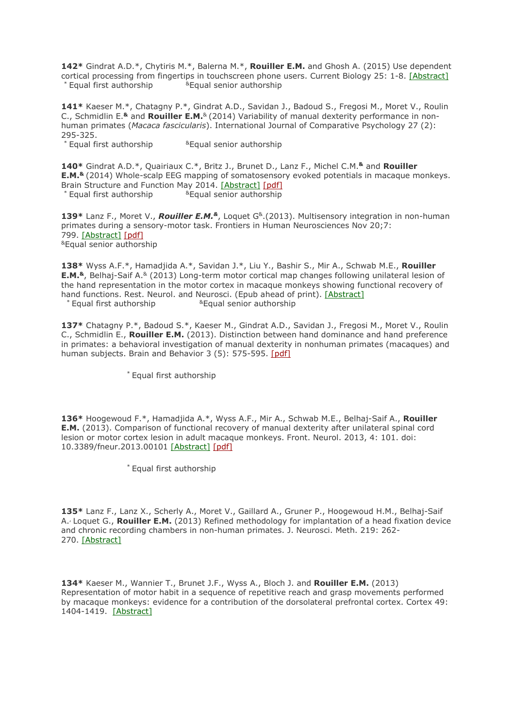**142\*** Gindrat A.D.\*, Chytiris M.\*, Balerna M.\*, **Rouiller E.M.** and Ghosh A. (2015) Use dependent cortical processing from fingertips in touchscreen phone users. Current Biology 25: 1-8. [\[Abstract\]](http://www.ncbi.nlm.nih.gov/pubmed/25542777)  $*$  Equal first authorship  $*$  Equal senior authorship

**141\*** Kaeser M.\*, Chatagny P.\*, Gindrat A.D., Savidan J., Badoud S., Fregosi M., Moret V., Roulin C., Schmidlin E.**&** and **Rouiller E.M.**& (2014) Variability of manual dexterity performance in nonhuman primates (*Macaca fascicularis*). International Journal of Comparative Psychology 27 (2): 295-325.

\* Equal first authorship **E**qual senior authorship

**140\*** Gindrat A.D.\*, Quairiaux C.\*, Britz J., Brunet D., Lanz F., Michel C.M.**&** and **Rouiller E.M.&** (2014) Whole-scalp EEG mapping of somatosensory evoked potentials in macaque monkeys. Brain Structure and Function May 2014. [\[Abstract\]](http://www.ncbi.nlm.nih.gov/pubmed/24791748) [\[pdf\]](https://www.ncbi.nlm.nih.gov/pmc/articles/PMC4495608/pdf/429_2014_Article_776.pdf)<br>
\* Equal first authorship **Equal senior authorship**  $*$  Equal first authorship

**139\*** Lanz F., Moret V., *Rouiller E.M.&*, Loquet G&.(2013). Multisensory integration in non-human primates during a sensory-motor task. Frontiers in Human Neurosciences Nov 20;7: 799. [\[Abstract\]](http://www.ncbi.nlm.nih.gov/pubmed/24319421) [\[pdf\]](https://www.ncbi.nlm.nih.gov/pmc/articles/PMC3837444/pdf/fnhum-07-00799.pdf) &Equal senior authorship

**138\*** Wyss A.F.\*, Hamadjida A.\*, Savidan J.\*, Liu Y., Bashir S., Mir A., Schwab M.E., **Rouiller E.M.&**, Belhaj-Saif A.& (2013) Long-term motor cortical map changes following unilateral lesion of the hand representation in the motor cortex in macaque monkeys showing functional recovery of hand functions. Rest. Neurol. and Neurosci. (Epub ahead of print). [\[Abstract\]](http://www.ncbi.nlm.nih.gov/pubmed/24064551)  $*$  Equal first authorship  $*$  Equal senior authorship

**137\*** Chatagny P.\*, Badoud S.\*, Kaeser M., Gindrat A.D., Savidan J., Fregosi M., Moret V., Roulin C., Schmidlin E., **Rouiller E.M.** (2013). Distinction between hand dominance and hand preference in primates: a behavioral investigation of manual dexterity in nonhuman primates (macaques) and human subjects. Brain and Behavior 3 (5): 575-595. [\[pdf\]](https://www4.unifr.ch/neuro/rouiller/assets/files/PUBROUILLER/chatagny2013.28300.pdf)

\* Equal first authorship

**136\*** Hoogewoud F.\*, Hamadjida A.\*, Wyss A.F., Mir A., Schwab M.E., Belhaj-Saif A., **Rouiller E.M.** (2013). Comparison of functional recovery of manual dexterity after unilateral spinal cord lesion or motor cortex lesion in adult macaque monkeys. Front. Neurol. 2013, 4: 101. doi: 10.3389/fneur.2013.00101 [\[Abstract\]](http://www.ncbi.nlm.nih.gov/pubmed/23885254) [\[pdf\]](https://www4.unifr.ch/neuro/rouiller/assets/files/PUBROUILLER/hoogewoud-et-al-front-mov-dis-2013.pdf)

\* Equal first authorship

**135\*** Lanz F., Lanz X., Scherly A., Moret V., Gaillard A., Gruner P., Hoogewoud H.M., Belhaj-Saif A., Loquet G., **Rouiller E.M.** (2013) Refined methodology for implantation of a head fixation device and chronic recording chambers in non-human primates. J. Neurosci. Meth. 219: 262- 270. [\[Abstract\]](http://www.ncbi.nlm.nih.gov/pubmed/23933327)

**134\*** Kaeser M., Wannier T., Brunet J.F., Wyss A., Bloch J. and **Rouiller E.M.** (2013) Representation of motor habit in a sequence of repetitive reach and grasp movements performed by macaque monkeys: evidence for a contribution of the dorsolateral prefrontal cortex. Cortex 49: 1404-1419. [\[Abstract\]](http://www.ncbi.nlm.nih.gov/pubmed/22809698)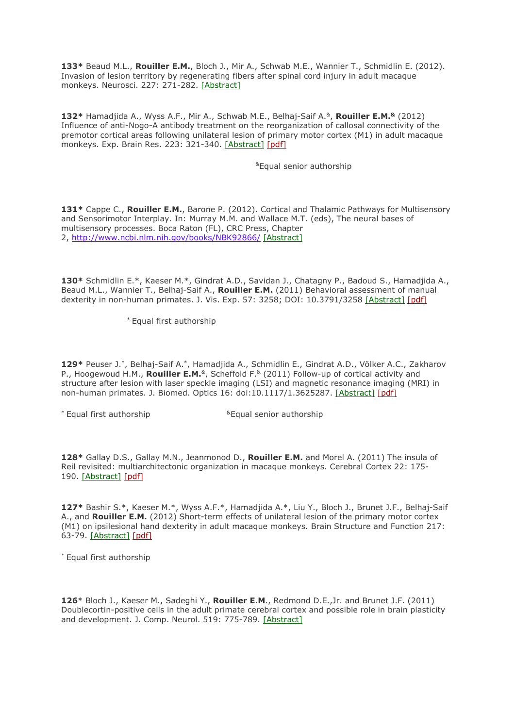**133\*** Beaud M.L., **Rouiller E.M.**, Bloch J., Mir A., Schwab M.E., Wannier T., Schmidlin E. (2012). Invasion of lesion territory by regenerating fibers after spinal cord injury in adult macaque monkeys. Neurosci. 227: 271-282. [\[Abstract\]](http://www.ncbi.nlm.nih.gov/pubmed/23036616)

**132\*** Hamadjida A., Wyss A.F., Mir A., Schwab M.E., Belhaj-Saif A.&, **Rouiller E.M.&** (2012) Influence of anti-Nogo-A antibody treatment on the reorganization of callosal connectivity of the premotor cortical areas following unilateral lesion of primary motor cortex (M1) in adult macaque monkeys. Exp. Brain Res. 223: 321-340. [\[Abstract\]](http://www.ncbi.nlm.nih.gov/pubmed/22990293) [\[pdf\]](https://www4.unifr.ch/neuro/rouiller/assets/files/PUBROUILLER/hamadjida-et-al-ebr-final-2012.pdf)

&Equal senior authorship

131<sup>\*</sup> Cappe C., Rouiller E.M., Barone P. (2012). Cortical and Thalamic Pathways for Multisensory and Sensorimotor Interplay. In: Murray M.M. and Wallace M.T. (eds), The neural bases of multisensory processes. Boca Raton (FL), CRC Press, Chapter 2, <http://www.ncbi.nlm.nih.gov/books/NBK92866/> [\[Abstract\]](http://www.ncbi.nlm.nih.gov/pubmed/22593888)

**130\*** Schmidlin E.\*, Kaeser M.\*, Gindrat A.D., Savidan J., Chatagny P., Badoud S., Hamadjida A., Beaud M.L., Wannier T., Belhaj-Saif A., **Rouiller E.M.** (2011) Behavioral assessment of manual dexterity in non-human primates. J. Vis. Exp. 57: 3258; DOI: 10.3791/3258 [\[Abstract\]](http://www.ncbi.nlm.nih.gov/pubmed/22105161) [\[pdf\]](https://www4.unifr.ch/neuro/rouiller/assets/files/PUBROUILLER/schmidlin-et-al-jove_protocol_2011.pdf)

\* Equal first authorship

**129\*** Peuser J.\*, Belhaj-Saif A.\*, Hamadjida A., Schmidlin E., Gindrat A.D., Völker A.C., Zakharov P., Hoogewoud H.M., **Rouiller E.M.**<sup>&</sup>, Scheffold F.<sup>&</sup> (2011) Follow-up of cortical activity and structure after lesion with laser speckle imaging (LSI) and magnetic resonance imaging (MRI) in non-human primates. J. Biomed. Optics 16: doi:10.1117/1.3625287. [\[Abstract\]](http://www.ncbi.nlm.nih.gov/pubmed/21950925) [\[pdf\]](https://www4.unifr.ch/neuro/rouiller/assets/files/PUBROUILLER/peuser2011.pdf)

 $*$  Equal first authorship  $*$  Equal senior authorship

**128\*** Gallay D.S., Gallay M.N., Jeanmonod D., **Rouiller E.M.** and Morel A. (2011) The insula of Reil revisited: multiarchitectonic organization in macaque monkeys. Cerebral Cortex 22: 175- 190. [\[Abstract\]](http://www.ncbi.nlm.nih.gov/pubmed/21613468) [\[pdf\]](https://www4.unifr.ch/neuro/rouiller/assets/files/PUBROUILLER/gallay2011.pdf)

**127\*** Bashir S.\*, Kaeser M.\*, Wyss A.F.\*, Hamadjida A.\*, Liu Y., Bloch J., Brunet J.F., Belhaj-Saif A., and **Rouiller E.M.** (2012) Short-term effects of unilateral lesion of the primary motor cortex (M1) on ipsilesional hand dexterity in adult macaque monkeys. Brain Structure and Function 217: 63-79. [\[Abstract\]](http://www.ncbi.nlm.nih.gov/pubmed/21597965) [\[pdf\]](https://www4.unifr.ch/neuro/rouiller/assets/files/PUBROUILLER/bashir2012.pdf)

\* Equal first authorship

**126**\* Bloch J., Kaeser M., Sadeghi Y., **Rouiller E.M**., Redmond D.E.,Jr. and Brunet J.F. (2011) Doublecortin-positive cells in the adult primate cerebral cortex and possible role in brain plasticity and development. J. Comp. Neurol. 519: 775-789. [\[Abstract\]](http://www.ncbi.nlm.nih.gov/pubmed/21246554)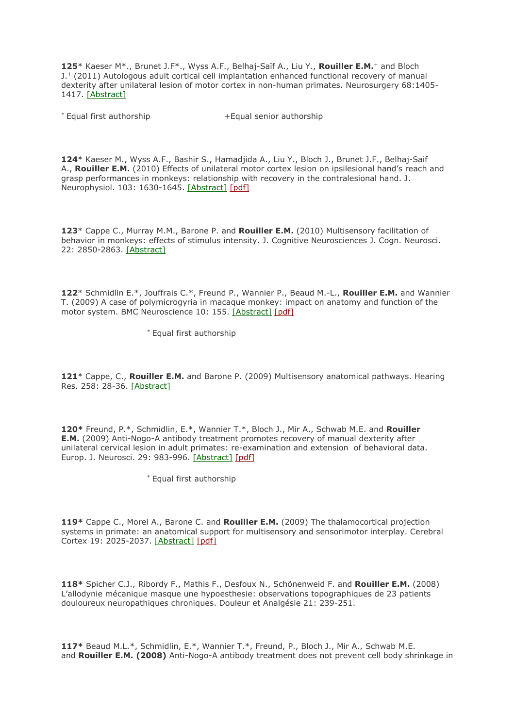**125**\* Kaeser M\*., Brunet J.F\*., Wyss A.F., Belhaj-Saïf A., Liu Y., **Rouiller E.M.**<sup>+</sup> and Bloch J.+ (2011) Autologous adult cortical cell implantation enhanced functional recovery of manual dexterity after unilateral lesion of motor cortex in non-human primates. Neurosurgery 68:1405- 1417. [\[Abstract\]](http://www.ncbi.nlm.nih.gov/pubmed/21273922)

\* Equal first authorship +Equal senior authorship

**124**\* Kaeser M., Wyss A.F., Bashir S., Hamadjida A., Liu Y., Bloch J., Brunet J.F., Belhaj-Saif A., **Rouiller E.M.** (2010) Effects of unilateral motor cortex lesion on ipsilesional hand's reach and grasp performances in monkeys: relationship with recovery in the contralesional hand. J. Neurophysiol. 103: 1630-1645. [\[Abstract\]](http://www.ncbi.nlm.nih.gov/pubmed/20071636) [\[pdf\]](https://www4.unifr.ch/neuro/rouiller/assets/files/PUBROUILLER/kaeserwyss.pdf)

**123**\* Cappe C., Murray M.M., Barone P. and **Rouiller E.M.** (2010) Multisensory facilitation of behavior in monkeys: effects of stimulus intensity. J. Cognitive Neurosciences J. Cogn. Neurosci. 22: 2850-2863. [\[Abstract\]](http://www.ncbi.nlm.nih.gov/pubmed/20044892)

**122**\* Schmidlin E.\*, Jouffrais C.\*, Freund P., Wannier P., Beaud M.-L., **Rouiller E.M.** and Wannier T. (2009) A case of polymicrogyria in macaque monkey: impact on anatomy and function of the motor system. BMC Neuroscience 10: 155. [\[Abstract\]](http://www.ncbi.nlm.nih.gov/pubmed/20030837) [\[pdf\]](https://www4.unifr.ch/neuro/rouiller/assets/files/PUBROUILLER/schmidlin2009.pdf)

\* Equal first authorship

**121**\* Cappe, C., **Rouiller E.M.** and Barone P. (2009) Multisensory anatomical pathways. Hearing Res. 258: 28-36. [\[Abstract\]](http://www.ncbi.nlm.nih.gov/pubmed/19410641)

**120\*** Freund, P.\*, Schmidlin, E.\*, Wannier T.\*, Bloch J., Mir A., Schwab M.E. and **Rouiller E.M.** (2009) Anti-Nogo-A antibody treatment promotes recovery of manual dexterity after unilateral cervical lesion in adult primates: re-examination and extension of behavioral data. Europ. J. Neurosci. 29: 983-996. [\[Abstract\]](http://www.ncbi.nlm.nih.gov/pubmed/19291225) [\[pdf\]](https://www4.unifr.ch/neuro/rouiller/assets/files/PUBROUILLER/freund2009.pdf)

\* Equal first authorship

**119\*** Cappe C., Morel A., Barone C. and **Rouiller E.M.** (2009) The thalamocortical projection systems in primate: an anatomical support for multisensory and sensorimotor interplay. Cerebral Cortex 19: 2025-2037. [\[Abstract\]](http://www.ncbi.nlm.nih.gov/pubmed/19150924) [\[pdf\]](https://www4.unifr.ch/neuro/rouiller/assets/files/PUBROUILLER/cappe2009.pdf)

**118\*** Spicher C.J., Ribordy F., Mathis F., Desfoux N., Schönenweid F. and **Rouiller E.M.** (2008) L'allodynie mécanique masque une hypoesthesie: observations topographiques de 23 patients douloureux neuropathiques chroniques. Douleur et Analgésie 21: 239-251.

**117\*** Beaud M.L.\*, Schmidlin, E.\*, Wannier T.\*, Freund, P., Bloch J., Mir A., Schwab M.E. and **Rouiller E.M. (2008)** Anti-Nogo-A antibody treatment does not prevent cell body shrinkage in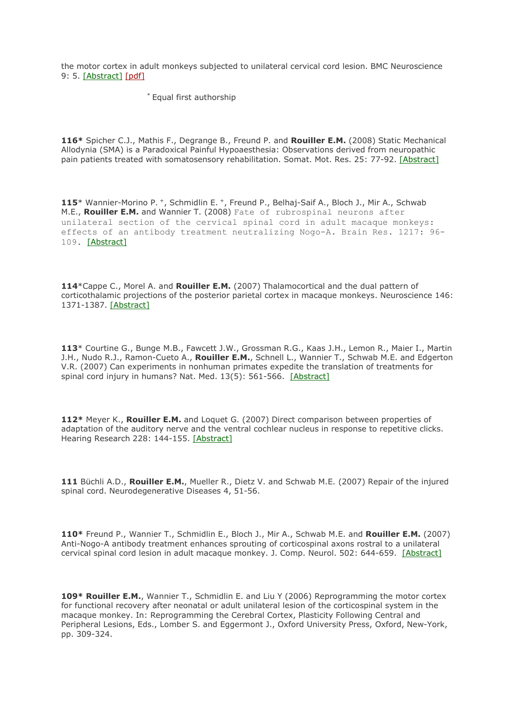the motor cortex in adult monkeys subjected to unilateral cervical cord lesion. BMC Neuroscience 9: 5. [\[Abstract\]](http://www.ncbi.nlm.nih.gov/pubmed/18194520) [\[pdf\]](https://www4.unifr.ch/neuro/rouiller/assets/files/PUBROUILLER/beaud.2008.pdf)

\* Equal first authorship

**116\*** Spicher C.J., Mathis F., Degrange B., Freund P. and **Rouiller E.M.** (2008) Static Mechanical Allodynia (SMA) is a Paradoxical Painful Hypoaesthesia: Observations derived from neuropathic pain patients treated with somatosensory rehabilitation. Somat. Mot. Res. 25: 77-92. [\[Abstract\]](http://www.ncbi.nlm.nih.gov/pubmed/18344149)

**115**\* Wannier-Morino P. +, Schmidlin E. +, Freund P., Belhaj-Saif A., Bloch J., Mir A., Schwab M.E., **Rouiller E.M.** and Wannier T. (2008) Fate of rubrospinal neurons after unilateral section of the cervical spinal cord in adult macaque monkeys: effects of an antibody treatment neutralizing Nogo-A. Brain Res. 1217: 96- 109. [\[Abstract\]](http://www.ncbi.nlm.nih.gov/pubmed/18508036)

**114**\*Cappe C., Morel A. and **Rouiller E.M.** (2007) Thalamocortical and the dual pattern of corticothalamic projections of the posterior parietal cortex in macaque monkeys. Neuroscience 146: 1371-1387. [\[Abstract\]](http://www.ncbi.nlm.nih.gov/pubmed/19150924)

**113**\* Courtine G., Bunge M.B., Fawcett J.W., Grossman R.G., Kaas J.H., Lemon R., Maier I., Martin J.H., Nudo R.J., Ramon-Cueto A., **Rouiller E.M.**, Schnell L., Wannier T., Schwab M.E. and Edgerton V.R. (2007) Can experiments in nonhuman primates expedite the translation of treatments for spinal cord injury in humans? Nat. Med. 13(5): 561-566. [\[Abstract\]](http://www.ncbi.nlm.nih.gov/pubmed/17479102)

**112\*** Meyer K., **Rouiller E.M.** and Loquet G. (2007) Direct comparison between properties of adaptation of the auditory nerve and the ventral cochlear nucleus in response to repetitive clicks. Hearing Research 228: 144-155. [\[Abstract\]](http://www.ncbi.nlm.nih.gov/pubmed/17391881)

**111** Büchli A.D., **Rouiller E.M.**, Mueller R., Dietz V. and Schwab M.E. (2007) Repair of the injured spinal cord. Neurodegenerative Diseases 4, 51-56.

**110\*** Freund P., Wannier T., Schmidlin E., Bloch J., Mir A., Schwab M.E. and **Rouiller E.M.** (2007) Anti-Nogo-A antibody treatment enhances sprouting of corticospinal axons rostral to a unilateral cervical spinal cord lesion in adult macaque monkey. J. Comp. Neurol. 502: 644-659. [\[Abstract\]](http://www.ncbi.nlm.nih.gov/pubmed/17394135)

**109\* Rouiller E.M.**, Wannier T., Schmidlin E. and Liu Y (2006) Reprogramming the motor cortex for functional recovery after neonatal or adult unilateral lesion of the corticospinal system in the macaque monkey. In: Reprogramming the Cerebral Cortex, Plasticity Following Central and Peripheral Lesions, Eds., Lomber S. and Eggermont J., Oxford University Press, Oxford, New-York, pp. 309-324.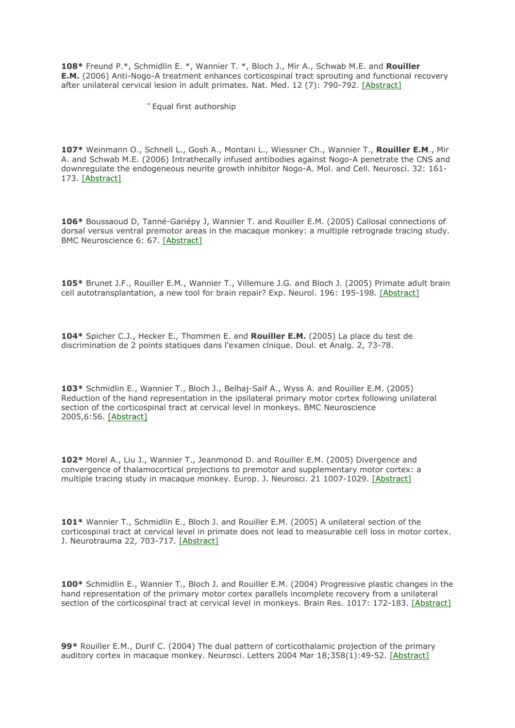**108\*** Freund P.\*, Schmidlin E. \*, Wannier T. \*, Bloch J., Mir A., Schwab M.E. and **Rouiller E.M.** (2006) Anti-Nogo-A treatment enhances corticospinal tract sprouting and functional recovery after unilateral cervical lesion in adult primates. Nat. Med. 12 (7): 790-792. [\[Abstract\]](http://www.ncbi.nlm.nih.gov/pubmed/16819551?dopt=AbstractPlus)

\* Equal first authorship

**107\*** Weinmann O., Schnell L., Gosh A., Montani L., Wiessner Ch., Wannier T., **Rouiller E.M**., Mir A. and Schwab M.E. (2006) Intrathecally infused antibodies against Nogo-A penetrate the CNS and downregulate the endogeneous neurite growth inhibitor Nogo-A. Mol. and Cell. Neurosci. 32: 161- 173. [\[Abstract\]](http://www.ncbi.nlm.nih.gov/pubmed/16697217?dopt=AbstractPlus)

**106\*** Boussaoud D, Tanné-Gariépy J, Wannier T. and Rouiller E.M. (2005) Callosal connections of dorsal versus ventral premotor areas in the macaque monkey: a multiple retrograde tracing study. BMC Neuroscience 6: 67. [\[Abstract\]](http://www.ncbi.nlm.nih.gov/entrez/query.fcgi?db=pubmed&cmd=Retrieve&dopt=AbstractPlus&list_uids=16309550&query_hl=10&itool=pubmed_docsum)

**105\*** Brunet J.F., Rouiller E.M., Wannier T., Villemure J.G. and Bloch J. (2005) Primate adult brain cell autotransplantation, a new tool for brain repair? Exp. Neurol. 196: 195-198. [\[Abstract\]](http://www.ncbi.nlm.nih.gov/entrez/query.fcgi?db=pubmed&cmd=Retrieve&dopt=AbstractPlus&list_uids=15913609&query_hl=6&itool=pubmed_docsum)

**104\*** Spicher C.J., Hecker E., Thommen E. and **Rouiller E.M.** (2005) La place du test de discrimination de 2 points statiques dans l'examen clnique. Doul. et Analg. 2, 73-78.

**103\*** Schmidlin E., Wannier T., Bloch J., Belhaj-Saif A., Wyss A. and Rouiller E.M. (2005) Reduction of the hand representation in the ipsilateral primary motor cortex following unilateral section of the corticospinal tract at cervical level in monkeys. BMC Neuroscience 2005,6:56. [\[Abstract\]](http://www.ncbi.nlm.nih.gov/entrez/query.fcgi?cmd=Retrieve&db=pubmed&dopt=Abstract&list_uids=16135243&query_hl=4)

**102\*** Morel A., Liu J., Wannier T., Jeanmonod D. and Rouiller E.M. (2005) Divergence and convergence of thalamocortical projections to premotor and supplementary motor cortex: a multiple tracing study in macaque monkey. Europ. J. Neurosci. 21 1007-1029. [\[Abstract\]](http://www.ncbi.nlm.nih.gov/entrez/query.fcgi?cmd=Retrieve&db=pubmed&dopt=Abstract&list_uids=15787707&query_hl=4)

**101\*** Wannier T., Schmidlin E., Bloch J. and Rouiller E.M. (2005) A unilateral section of the corticospinal tract at cervical level in primate does not lead to measurable cell loss in motor cortex. J. Neurotrauma 22, 703-717. [\[Abstract\]](http://www.ncbi.nlm.nih.gov/entrez/query.fcgi?cmd=Retrieve&db=pubmed&dopt=Abstract&list_uids=15941378&query_hl=4)

**100\*** Schmidlin E., Wannier T., Bloch J. and Rouiller E.M. (2004) Progressive plastic changes in the hand representation of the primary motor cortex parallels incomplete recovery from a unilateral section of the corticospinal tract at cervical level in monkeys. Brain Res. 1017: 172-183. [\[Abstract\]](http://www.ncbi.nlm.nih.gov/entrez/query.fcgi?cmd=Retrieve&db=pubmed&dopt=Abstract&list_uids=15261113)

**99\*** Rouiller E.M., Durif C. (2004) The dual pattern of corticothalamic projection of the primary auditory cortex in macaque monkey. Neurosci. Letters 2004 Mar 18;358(1):49-52. [\[Abstract\]](http://www.ncbi.nlm.nih.gov/entrez/query.fcgi?cmd=Retrieve&db=pubmed&dopt=Abstract&list_uids=15016432)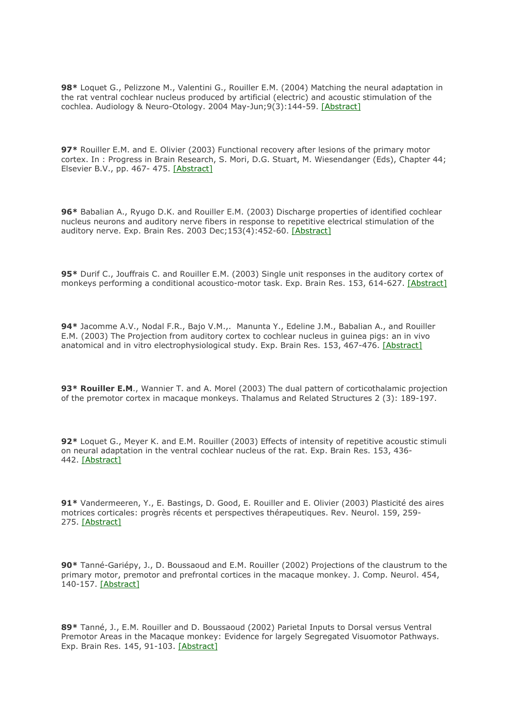**98\*** Loquet G., Pelizzone M., Valentini G., Rouiller E.M. (2004) Matching the neural adaptation in the rat ventral cochlear nucleus produced by artificial (electric) and acoustic stimulation of the cochlea. Audiology & Neuro-Otology. 2004 May-Jun;9(3):144-59. [\[Abstract\]](http://www.ncbi.nlm.nih.gov/entrez/query.fcgi?cmd=Retrieve&db=pubmed&dopt=Abstract&list_uids=15084819)

**97\*** Rouiller E.M. and E. Olivier (2003) Functional recovery after lesions of the primary motor cortex. In : Progress in Brain Research, S. Mori, D.G. Stuart, M. Wiesendanger (Eds), Chapter 44; Elsevier B.V., pp. 467- 475. [\[Abstract\]](http://www.ncbi.nlm.nih.gov/entrez/query.fcgi?cmd=Retrieve&db=PubMed&list_uids=14653189&dopt=Abstract)

**96\*** Babalian A., Ryugo D.K. and Rouiller E.M. (2003) Discharge properties of identified cochlear nucleus neurons and auditory nerve fibers in response to repetitive electrical stimulation of the auditory nerve. Exp. Brain Res. 2003 Dec;153(4):452-60. [\[Abstract\]](http://www.ncbi.nlm.nih.gov/entrez/query.fcgi?cmd=Retrieve&db=PubMed&list_uids=12955378&dopt=Abstract)

**95\*** Durif C., Jouffrais C. and Rouiller E.M. (2003) Single unit responses in the auditory cortex of monkeys performing a conditional acoustico-motor task. Exp. Brain Res. 153, 614-627. [\[Abstract\]](http://www.ncbi.nlm.nih.gov/entrez/query.fcgi?cmd=Retrieve&db=PubMed&list_uids=14578996&dopt=Abstract)

**94\*** Jacomme A.V., Nodal F.R., Bajo V.M.,. Manunta Y., Edeline J.M., Babalian A., and Rouiller E.M. (2003) The Projection from auditory cortex to cochlear nucleus in guinea pigs: an in vivo anatomical and in vitro electrophysiological study. Exp. Brain Res. 153, 467-476. [\[Abstract\]](http://www.ncbi.nlm.nih.gov/entrez/query.fcgi?cmd=Retrieve&db=PubMed&list_uids=14504855&dopt=Abstract)

**93\* Rouiller E.M**., Wannier T. and A. Morel (2003) The dual pattern of corticothalamic projection of the premotor cortex in macaque monkeys. Thalamus and Related Structures 2 (3): 189-197.

**92\*** Loquet G., Meyer K. and E.M. Rouiller (2003) Effects of intensity of repetitive acoustic stimuli on neural adaptation in the ventral cochlear nucleus of the rat. Exp. Brain Res. 153, 436- 442. [\[Abstract\]](http://www.ncbi.nlm.nih.gov/entrez/query.fcgi?cmd=Retrieve&db=PubMed&list_uids=14574431&dopt=Abstract)

**91\*** Vandermeeren, Y., E. Bastings, D. Good, E. Rouiller and E. Olivier (2003) Plasticité des aires motrices corticales: progrès récents et perspectives thérapeutiques. Rev. Neurol. 159, 259- 275. [\[Abstract\]](http://www.ncbi.nlm.nih.gov/entrez/query.fcgi?cmd=Retrieve&db=PubMed&list_uids=12703042&dopt=Abstract)

**90\*** Tanné-Gariépy, J., D. Boussaoud and E.M. Rouiller (2002) Projections of the claustrum to the primary motor, premotor and prefrontal cortices in the macaque monkey. J. Comp. Neurol. 454, 140-157. [\[Abstract\]](http://www.ncbi.nlm.nih.gov/entrez/query.fcgi?cmd=Retrieve&db=PubMed&list_uids=12412139&dopt=Abstract)

**89\*** Tanné, J., E.M. Rouiller and D. Boussaoud (2002) Parietal Inputs to Dorsal versus Ventral Premotor Areas in the Macaque monkey: Evidence for largely Segregated Visuomotor Pathways. Exp. Brain Res. 145, 91-103. [\[Abstract\]](http://www.ncbi.nlm.nih.gov/entrez/query.fcgi?cmd=Retrieve&db=PubMed&list_uids=12070749&dopt=Abstract)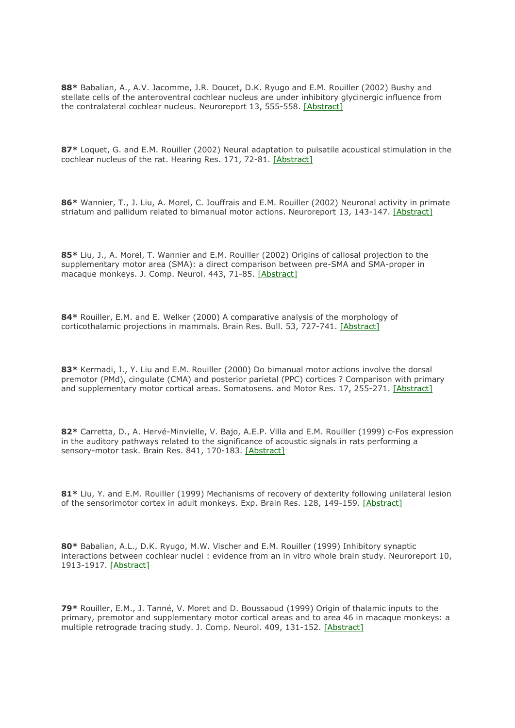**88\*** Babalian, A., A.V. Jacomme, J.R. Doucet, D.K. Ryugo and E.M. Rouiller (2002) Bushy and stellate cells of the anteroventral cochlear nucleus are under inhibitory glycinergic influence from the contralateral cochlear nucleus. Neuroreport 13, 555-558. [\[Abstract\]](http://www.ncbi.nlm.nih.gov/entrez/query.fcgi?cmd=Retrieve&db=PubMed&list_uids=11930179&dopt=Abstract)

**87\*** Loquet, G. and E.M. Rouiller (2002) Neural adaptation to pulsatile acoustical stimulation in the cochlear nucleus of the rat. Hearing Res. 171, 72-81. [\[Abstract\]](http://www.ncbi.nlm.nih.gov/entrez/query.fcgi?cmd=Retrieve&db=PubMed&list_uids=12204351&dopt=Abstract)

**86\*** Wannier, T., J. Liu, A. Morel, C. Jouffrais and E.M. Rouiller (2002) Neuronal activity in primate striatum and pallidum related to bimanual motor actions. Neuroreport 13, 143-147. [\[Abstract\]](http://www.ncbi.nlm.nih.gov/entrez/query.fcgi?cmd=Retrieve&db=PubMed&list_uids=11924876&dopt=Abstract)

**85\*** Liu, J., A. Morel, T. Wannier and E.M. Rouiller (2002) Origins of callosal projection to the supplementary motor area (SMA): a direct comparison between pre-SMA and SMA-proper in macaque monkeys. J. Comp. Neurol. 443, 71-85. [\[Abstract\]](http://www.ncbi.nlm.nih.gov/entrez/query.fcgi?cmd=Retrieve&db=PubMed&list_uids=11179837&dopt=Abstract)

**84\*** Rouiller, E.M. and E. Welker (2000) A comparative analysis of the morphology of corticothalamic projections in mammals. Brain Res. Bull. 53, 727-741. [\[Abstract\]](http://www.ncbi.nlm.nih.gov/entrez/query.fcgi?cmd=Retrieve&db=PubMed&list_uids=11179837&dopt=Abstract)

**83\*** Kermadi, I., Y. Liu and E.M. Rouiller (2000) Do bimanual motor actions involve the dorsal premotor (PMd), cingulate (CMA) and posterior parietal (PPC) cortices ? Comparison with primary and supplementary motor cortical areas. Somatosens. and Motor Res. 17, 255-271. [\[Abstract\]](http://www.ncbi.nlm.nih.gov/entrez/query.fcgi?cmd=Retrieve&db=PubMed&list_uids=10994596&dopt=Abstract)

**82\*** Carretta, D., A. Hervé-Minvielle, V. Bajo, A.E.P. Villa and E.M. Rouiller (1999) c-Fos expression in the auditory pathways related to the significance of acoustic signals in rats performing a sensory-motor task. Brain Res. 841, 170-183. [\[Abstract\]](http://www.ncbi.nlm.nih.gov/entrez/query.fcgi?cmd=Retrieve&db=PubMed&list_uids=10546999&dopt=Abstract)

**81\*** Liu, Y. and E.M. Rouiller (1999) Mechanisms of recovery of dexterity following unilateral lesion of the sensorimotor cortex in adult monkeys. Exp. Brain Res. 128, 149-159. [\[Abstract\]](http://www.ncbi.nlm.nih.gov/entrez/query.fcgi?cmd=Retrieve&db=PubMed&list_uids=10473753&dopt=Abstract)

**80\*** Babalian, A.L., D.K. Ryugo, M.W. Vischer and E.M. Rouiller (1999) Inhibitory synaptic interactions between cochlear nuclei : evidence from an in vitro whole brain study. Neuroreport 10, 1913-1917. [\[Abstract\]](http://www.ncbi.nlm.nih.gov/entrez/query.fcgi?cmd=Retrieve&db=PubMed&list_uids=10501532&dopt=Abstract)

**79\*** Rouiller, E.M., J. Tanné, V. Moret and D. Boussaoud (1999) Origin of thalamic inputs to the primary, premotor and supplementary motor cortical areas and to area 46 in macaque monkeys: a multiple retrograde tracing study. J. Comp. Neurol. 409, 131-152. [\[Abstract\]](http://www.ncbi.nlm.nih.gov/entrez/query.fcgi?cmd=Retrieve&db=PubMed&list_uids=10363716&dopt=Abstract)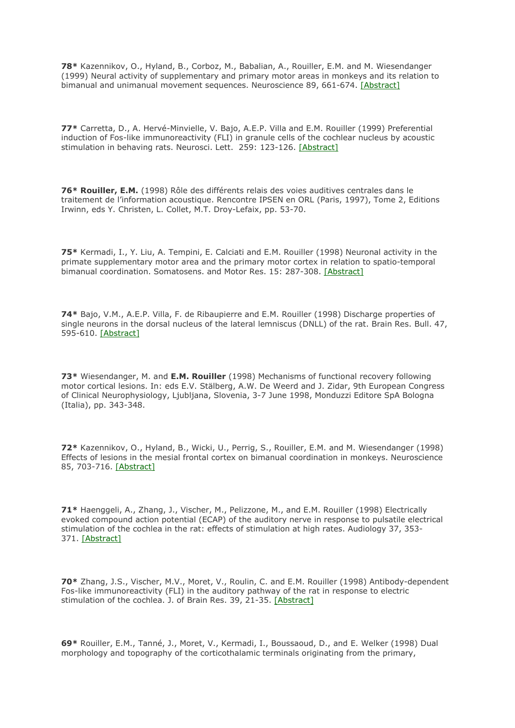**78\*** Kazennikov, O., Hyland, B., Corboz, M., Babalian, A., Rouiller, E.M. and M. Wiesendanger (1999) Neural activity of supplementary and primary motor areas in monkeys and its relation to bimanual and unimanual movement sequences. Neuroscience 89, 661-674. [\[Abstract\]](http://www.ncbi.nlm.nih.gov/entrez/query.fcgi?cmd=Retrieve&db=PubMed&list_uids=10199603&dopt=Abstract)

**77\*** Carretta, D., A. Hervé-Minvielle, V. Bajo, A.E.P. Villa and E.M. Rouiller (1999) Preferential induction of Fos-like immunoreactivity (FLI) in granule cells of the cochlear nucleus by acoustic stimulation in behaving rats. Neurosci. Lett. 259: 123-126. [\[Abstract\]](http://www.ncbi.nlm.nih.gov/entrez/query.fcgi?cmd=Retrieve&db=PubMed&list_uids=10025573&dopt=Abstract)

**76\* Rouiller, E.M.** (1998) Rôle des différents relais des voies auditives centrales dans le traitement de l'information acoustique. Rencontre IPSEN en ORL (Paris, 1997), Tome 2, Editions Irwinn, eds Y. Christen, L. Collet, M.T. Droy-Lefaix, pp. 53-70.

**75\*** Kermadi, I., Y. Liu, A. Tempini, E. Calciati and E.M. Rouiller (1998) Neuronal activity in the primate supplementary motor area and the primary motor cortex in relation to spatio-temporal bimanual coordination. Somatosens. and Motor Res. 15: 287-308. [\[Abstract\]](http://www.ncbi.nlm.nih.gov/entrez/query.fcgi?cmd=Retrieve&db=PubMed&list_uids=9875547&dopt=Abstract)

**74\*** Bajo, V.M., A.E.P. Villa, F. de Ribaupierre and E.M. Rouiller (1998) Discharge properties of single neurons in the dorsal nucleus of the lateral lemniscus (DNLL) of the rat. Brain Res. Bull. 47, 595-610. [\[Abstract\]](http://www.ncbi.nlm.nih.gov/entrez/query.fcgi?cmd=Retrieve&db=PubMed&list_uids=10078617&dopt=Abstract)

**73\*** Wiesendanger, M. and **E.M. Rouiller** (1998) Mechanisms of functional recovery following motor cortical lesions. In: eds E.V. Stälberg, A.W. De Weerd and J. Zidar, 9th European Congress of Clinical Neurophysiology, Ljubljana, Slovenia, 3-7 June 1998, Monduzzi Editore SpA Bologna (Italia), pp. 343-348.

**72\*** Kazennikov, O., Hyland, B., Wicki, U., Perrig, S., Rouiller, E.M. and M. Wiesendanger (1998) Effects of lesions in the mesial frontal cortex on bimanual coordination in monkeys. Neuroscience 85, 703-716. [\[Abstract\]](http://www.ncbi.nlm.nih.gov/entrez/query.fcgi?cmd=Retrieve&db=PubMed&list_uids=9639266&dopt=Abstract)

**71\*** Haenggeli, A., Zhang, J., Vischer, M., Pelizzone, M., and E.M. Rouiller (1998) Electrically evoked compound action potential (ECAP) of the auditory nerve in response to pulsatile electrical stimulation of the cochlea in the rat: effects of stimulation at high rates. Audiology 37, 353- 371. [\[Abstract\]](http://www.ncbi.nlm.nih.gov/entrez/query.fcgi?cmd=Retrieve&db=PubMed&list_uids=9888192&dopt=Abstract)

**70\*** Zhang, J.S., Vischer, M.V., Moret, V., Roulin, C. and E.M. Rouiller (1998) Antibody-dependent Fos-like immunoreactivity (FLI) in the auditory pathway of the rat in response to electric stimulation of the cochlea. J. of Brain Res. 39, 21-35. [\[Abstract\]](http://www.ncbi.nlm.nih.gov/entrez/query.fcgi?cmd=Retrieve&db=PubMed&list_uids=9672108&dopt=Abstract)

**69\*** Rouiller, E.M., Tanné, J., Moret, V., Kermadi, I., Boussaoud, D., and E. Welker (1998) Dual morphology and topography of the corticothalamic terminals originating from the primary,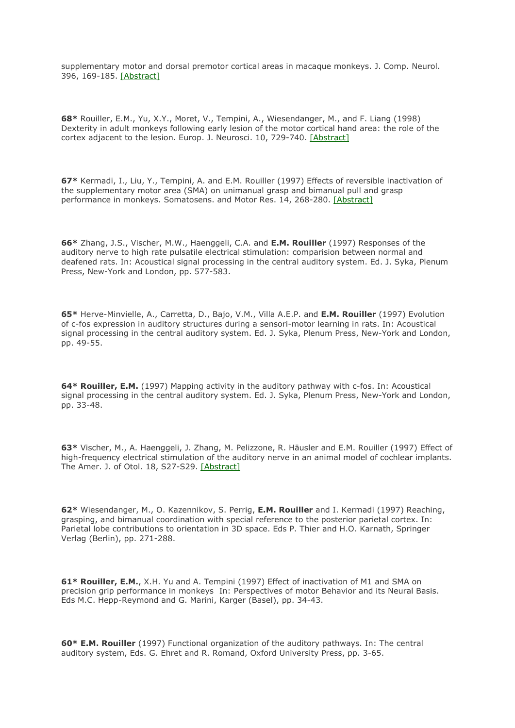supplementary motor and dorsal premotor cortical areas in macaque monkeys. J. Comp. Neurol. 396, 169-185. [\[Abstract\]](http://www.ncbi.nlm.nih.gov/entrez/query.fcgi?cmd=Retrieve&db=PubMed&list_uids=9634140&dopt=Abstract)

**68\*** Rouiller, E.M., Yu, X.Y., Moret, V., Tempini, A., Wiesendanger, M., and F. Liang (1998) Dexterity in adult monkeys following early lesion of the motor cortical hand area: the role of the cortex adjacent to the lesion. Europ. J. Neurosci. 10, 729-740. [\[Abstract\]](http://www.ncbi.nlm.nih.gov/entrez/query.fcgi?cmd=Retrieve&db=PubMed&list_uids=9749734&dopt=Abstract)

**67\*** Kermadi, I., Liu, Y., Tempini, A. and E.M. Rouiller (1997) Effects of reversible inactivation of the supplementary motor area (SMA) on unimanual grasp and bimanual pull and grasp performance in monkeys. Somatosens. and Motor Res. 14, 268-280. [\[Abstract\]](http://www.ncbi.nlm.nih.gov/entrez/query.fcgi?cmd=Retrieve&db=PubMed&list_uids=9443367&dopt=Abstract)

**66\*** Zhang, J.S., Vischer, M.W., Haenggeli, C.A. and **E.M. Rouiller** (1997) Responses of the auditory nerve to high rate pulsatile electrical stimulation: comparision between normal and deafened rats. In: Acoustical signal processing in the central auditory system. Ed. J. Syka, Plenum Press, New-York and London, pp. 577-583.

**65\*** Herve-Minvielle, A., Carretta, D., Bajo, V.M., Villa A.E.P. and **E.M. Rouiller** (1997) Evolution of c-fos expression in auditory structures during a sensori-motor learning in rats. In: Acoustical signal processing in the central auditory system. Ed. J. Syka, Plenum Press, New-York and London, pp. 49-55.

**64\* Rouiller, E.M.** (1997) Mapping activity in the auditory pathway with c-fos. In: Acoustical signal processing in the central auditory system. Ed. J. Syka, Plenum Press, New-York and London, pp. 33-48.

**63\*** Vischer, M., A. Haenggeli, J. Zhang, M. Pelizzone, R. Häusler and E.M. Rouiller (1997) Effect of high-frequency electrical stimulation of the auditory nerve in an animal model of cochlear implants. The Amer. J. of Otol. 18, S27-S29. [\[Abstract\]](http://www.ncbi.nlm.nih.gov/entrez/query.fcgi?cmd=Retrieve&db=PubMed&list_uids=9391586&dopt=Abstract)

**62\*** Wiesendanger, M., O. Kazennikov, S. Perrig, **E.M. Rouiller** and I. Kermadi (1997) Reaching, grasping, and bimanual coordination with special reference to the posterior parietal cortex. In: Parietal lobe contributions to orientation in 3D space. Eds P. Thier and H.O. Karnath, Springer Verlag (Berlin), pp. 271-288.

**61\* Rouiller, E.M.**, X.H. Yu and A. Tempini (1997) Effect of inactivation of M1 and SMA on precision grip performance in monkeys In: Perspectives of motor Behavior and its Neural Basis. Eds M.C. Hepp-Reymond and G. Marini, Karger (Basel), pp. 34-43.

**60\* E.M. Rouiller** (1997) Functional organization of the auditory pathways. In: The central auditory system, Eds. G. Ehret and R. Romand, Oxford University Press, pp. 3-65.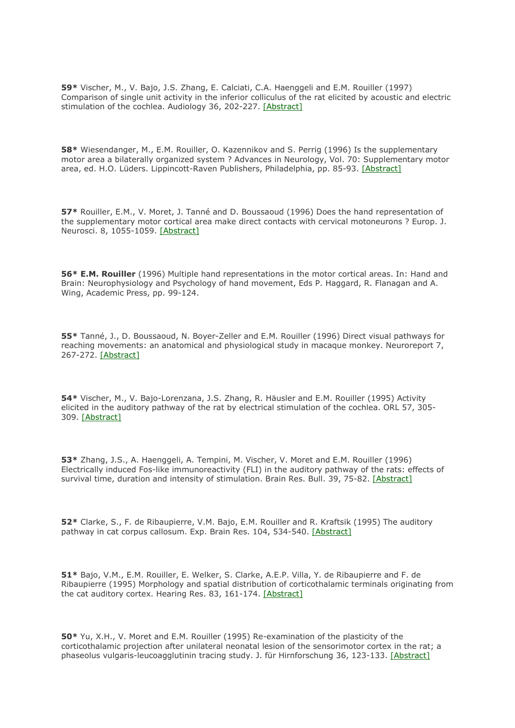**59\*** Vischer, M., V. Bajo, J.S. Zhang, E. Calciati, C.A. Haenggeli and E.M. Rouiller (1997) Comparison of single unit activity in the inferior colliculus of the rat elicited by acoustic and electric stimulation of the cochlea. Audiology 36, 202-227. [\[Abstract\]](http://www.ncbi.nlm.nih.gov/entrez/query.fcgi?cmd=Retrieve&db=PubMed&list_uids=9253480&dopt=Abstract)

**58\*** Wiesendanger, M., E.M. Rouiller, O. Kazennikov and S. Perrig (1996) Is the supplementary motor area a bilaterally organized system ? Advances in Neurology, Vol. 70: Supplementary motor area, ed. H.O. Lüders. Lippincott-Raven Publishers, Philadelphia, pp. 85-93. [\[Abstract\]](http://www.ncbi.nlm.nih.gov/entrez/query.fcgi?cmd=Retrieve&db=PubMed&list_uids=8615233&dopt=Abstract)

**57\*** Rouiller, E.M., V. Moret, J. Tanné and D. Boussaoud (1996) Does the hand representation of the supplementary motor cortical area make direct contacts with cervical motoneurons ? Europ. J. Neurosci. 8, 1055-1059. [\[Abstract\]](http://www.ncbi.nlm.nih.gov/entrez/query.fcgi?cmd=Retrieve&db=PubMed&list_uids=8743753&dopt=Abstract)

**56\* E.M. Rouiller** (1996) Multiple hand representations in the motor cortical areas. In: Hand and Brain: Neurophysiology and Psychology of hand movement, Eds P. Haggard, R. Flanagan and A. Wing, Academic Press, pp. 99-124.

**55\*** Tanné, J., D. Boussaoud, N. Boyer-Zeller and E.M. Rouiller (1996) Direct visual pathways for reaching movements: an anatomical and physiological study in macaque monkey. Neuroreport 7, 267-272. [\[Abstract\]](http://www.ncbi.nlm.nih.gov/entrez/query.fcgi?cmd=Retrieve&db=PubMed&list_uids=8742467&dopt=Abstract)

**54\*** Vischer, M., V. Bajo-Lorenzana, J.S. Zhang, R. Häusler and E.M. Rouiller (1995) Activity elicited in the auditory pathway of the rat by electrical stimulation of the cochlea. ORL 57, 305- 309. [\[Abstract\]](http://www.ncbi.nlm.nih.gov/entrez/query.fcgi?cmd=Retrieve&db=PubMed&list_uids=8789478&dopt=Abstract)

**53\*** Zhang, J.S., A. Haenggeli, A. Tempini, M. Vischer, V. Moret and E.M. Rouiller (1996) Electrically induced Fos-like immunoreactivity (FLI) in the auditory pathway of the rats: effects of survival time, duration and intensity of stimulation. Brain Res. Bull. 39, 75-82. [\[Abstract\]](http://www.ncbi.nlm.nih.gov/entrez/query.fcgi?cmd=Retrieve&db=PubMed&list_uids=8846116&dopt=Abstract)

**52\*** Clarke, S., F. de Ribaupierre, V.M. Bajo, E.M. Rouiller and R. Kraftsik (1995) The auditory pathway in cat corpus callosum. Exp. Brain Res. 104, 534-540. [\[Abstract\]](http://www.ncbi.nlm.nih.gov/entrez/query.fcgi?cmd=Retrieve&db=PubMed&list_uids=7589305&dopt=Abstract)

**51\*** Bajo, V.M., E.M. Rouiller, E. Welker, S. Clarke, A.E.P. Villa, Y. de Ribaupierre and F. de Ribaupierre (1995) Morphology and spatial distribution of corticothalamic terminals originating from the cat auditory cortex. Hearing Res. 83, 161-174. [\[Abstract\]](http://www.ncbi.nlm.nih.gov/entrez/query.fcgi?cmd=Retrieve&db=PubMed&list_uids=7607982&dopt=Abstract)

**50\*** Yu, X.H., V. Moret and E.M. Rouiller (1995) Re-examination of the plasticity of the corticothalamic projection after unilateral neonatal lesion of the sensorimotor cortex in the rat; a phaseolus vulgaris-leucoagglutinin tracing study. J. für Hirnforschung 36, 123-133. [\[Abstract\]](http://www.ncbi.nlm.nih.gov/entrez/query.fcgi?cmd=Retrieve&db=PubMed&list_uids=7751603&dopt=Abstract)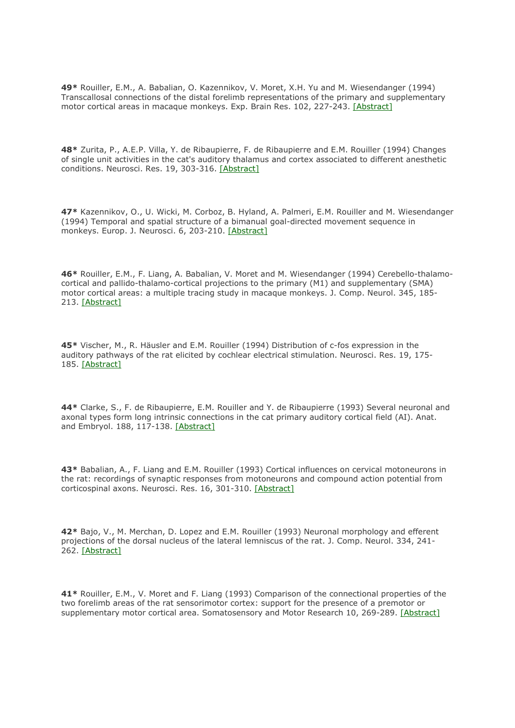**49\*** Rouiller, E.M., A. Babalian, O. Kazennikov, V. Moret, X.H. Yu and M. Wiesendanger (1994) Transcallosal connections of the distal forelimb representations of the primary and supplementary motor cortical areas in macaque monkeys. Exp. Brain Res. 102, 227-243. [\[Abstract\]](http://www.ncbi.nlm.nih.gov/entrez/query.fcgi?cmd=Retrieve&db=PubMed&list_uids=7705502&dopt=Abstract)

**48\*** Zurita, P., A.E.P. Villa, Y. de Ribaupierre, F. de Ribaupierre and E.M. Rouiller (1994) Changes of single unit activities in the cat's auditory thalamus and cortex associated to different anesthetic conditions. Neurosci. Res. 19, 303-316. [\[Abstract\]](http://www.ncbi.nlm.nih.gov/entrez/query.fcgi?cmd=Retrieve&db=PubMed&list_uids=8058206&dopt=Abstract)

**47\*** Kazennikov, O., U. Wicki, M. Corboz, B. Hyland, A. Palmeri, E.M. Rouiller and M. Wiesendanger (1994) Temporal and spatial structure of a bimanual goal-directed movement sequence in monkeys. Europ. J. Neurosci. 6, 203-210. [\[Abstract\]](http://www.ncbi.nlm.nih.gov/entrez/query.fcgi?cmd=Retrieve&db=PubMed&list_uids=8167842&dopt=Abstract)

**46\*** Rouiller, E.M., F. Liang, A. Babalian, V. Moret and M. Wiesendanger (1994) Cerebello-thalamocortical and pallido-thalamo-cortical projections to the primary (M1) and supplementary (SMA) motor cortical areas: a multiple tracing study in macaque monkeys. J. Comp. Neurol. 345, 185- 213. [\[Abstract\]](http://www.ncbi.nlm.nih.gov/entrez/query.fcgi?cmd=Retrieve&db=PubMed&list_uids=7523459&dopt=Abstract)

**45\*** Vischer, M., R. Häusler and E.M. Rouiller (1994) Distribution of c-fos expression in the auditory pathways of the rat elicited by cochlear electrical stimulation. Neurosci. Res. 19, 175- 185. [\[Abstract\]](http://www.ncbi.nlm.nih.gov/entrez/query.fcgi?cmd=Retrieve&db=PubMed&list_uids=8008246&dopt=Abstract)

**44\*** Clarke, S., F. de Ribaupierre, E.M. Rouiller and Y. de Ribaupierre (1993) Several neuronal and axonal types form long intrinsic connections in the cat primary auditory cortical field (AI). Anat. and Embryol. 188, 117-138. [\[Abstract\]](http://www.ncbi.nlm.nih.gov/entrez/query.fcgi?cmd=Retrieve&db=PubMed&list_uids=8214628&dopt=Abstract)

**43\*** Babalian, A., F. Liang and E.M. Rouiller (1993) Cortical influences on cervical motoneurons in the rat: recordings of synaptic responses from motoneurons and compound action potential from corticospinal axons. Neurosci. Res. 16, 301-310. [\[Abstract\]](http://www.ncbi.nlm.nih.gov/entrez/query.fcgi?cmd=Retrieve&db=PubMed&list_uids=8394557&dopt=Abstract)

**42\*** Bajo, V., M. Merchan, D. Lopez and E.M. Rouiller (1993) Neuronal morphology and efferent projections of the dorsal nucleus of the lateral lemniscus of the rat. J. Comp. Neurol. 334, 241- 262. [\[Abstract\]](http://www.ncbi.nlm.nih.gov/entrez/query.fcgi?cmd=Retrieve&db=PubMed&list_uids=8366195&dopt=Abstract)

**41\*** Rouiller, E.M., V. Moret and F. Liang (1993) Comparison of the connectional properties of the two forelimb areas of the rat sensorimotor cortex: support for the presence of a premotor or supplementary motor cortical area. Somatosensory and Motor Research 10, 269-289. [\[Abstract\]](http://www.ncbi.nlm.nih.gov/entrez/query.fcgi?cmd=Retrieve&db=PubMed&list_uids=8237215&dopt=Abstract)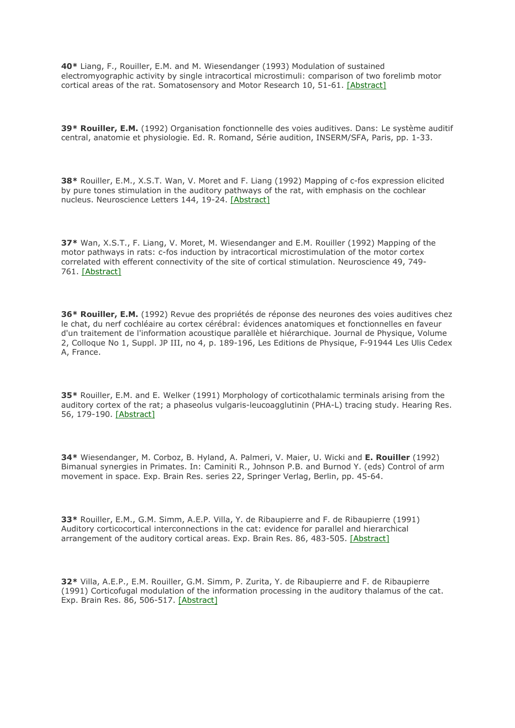**40\*** Liang, F., Rouiller, E.M. and M. Wiesendanger (1993) Modulation of sustained electromyographic activity by single intracortical microstimuli: comparison of two forelimb motor cortical areas of the rat. Somatosensory and Motor Research 10, 51-61. [\[Abstract\]](http://www.ncbi.nlm.nih.gov/entrez/query.fcgi?cmd=Retrieve&db=PubMed&list_uids=8484296&dopt=Abstract)

**39\* Rouiller, E.M.** (1992) Organisation fonctionnelle des voies auditives. Dans: Le système auditif central, anatomie et physiologie. Ed. R. Romand, Série audition, INSERM/SFA, Paris, pp. 1-33.

**38\*** Rouiller, E.M., X.S.T. Wan, V. Moret and F. Liang (1992) Mapping of c-fos expression elicited by pure tones stimulation in the auditory pathways of the rat, with emphasis on the cochlear nucleus. Neuroscience Letters 144, 19-24. [\[Abstract\]](http://www.ncbi.nlm.nih.gov/entrez/query.fcgi?cmd=Retrieve&db=PubMed&list_uids=1436702&dopt=Abstract)

**37\*** Wan, X.S.T., F. Liang, V. Moret, M. Wiesendanger and E.M. Rouiller (1992) Mapping of the motor pathways in rats: c-fos induction by intracortical microstimulation of the motor cortex correlated with efferent connectivity of the site of cortical stimulation. Neuroscience 49, 749- 761. [\[Abstract\]](http://www.ncbi.nlm.nih.gov/entrez/query.fcgi?cmd=Retrieve&db=PubMed&list_uids=1279454&dopt=Abstract)

**36\* Rouiller, E.M.** (1992) Revue des propriétés de réponse des neurones des voies auditives chez le chat, du nerf cochléaire au cortex cérébral: évidences anatomiques et fonctionnelles en faveur d'un traitement de l'information acoustique parallèle et hiérarchique. Journal de Physique, Volume 2, Colloque No 1, Suppl. JP III, no 4, p. 189-196, Les Editions de Physique, F-91944 Les Ulis Cedex A, France.

**35\*** Rouiller, E.M. and E. Welker (1991) Morphology of corticothalamic terminals arising from the auditory cortex of the rat; a phaseolus vulgaris-leucoagglutinin (PHA-L) tracing study. Hearing Res. 56, 179-190. [\[Abstract\]](http://www.ncbi.nlm.nih.gov/entrez/query.fcgi?cmd=Retrieve&db=PubMed&list_uids=1769912&dopt=Abstract)

**34\*** Wiesendanger, M. Corboz, B. Hyland, A. Palmeri, V. Maier, U. Wicki and **E. Rouiller** (1992) Bimanual synergies in Primates. In: Caminiti R., Johnson P.B. and Burnod Y. (eds) Control of arm movement in space. Exp. Brain Res. series 22, Springer Verlag, Berlin, pp. 45-64.

**33\*** Rouiller, E.M., G.M. Simm, A.E.P. Villa, Y. de Ribaupierre and F. de Ribaupierre (1991) Auditory corticocortical interconnections in the cat: evidence for parallel and hierarchical arrangement of the auditory cortical areas. Exp. Brain Res. 86, 483-505. [\[Abstract\]](http://www.ncbi.nlm.nih.gov/entrez/query.fcgi?cmd=Retrieve&db=PubMed&list_uids=1722171&dopt=Abstract)

**32\*** Villa, A.E.P., E.M. Rouiller, G.M. Simm, P. Zurita, Y. de Ribaupierre and F. de Ribaupierre (1991) Corticofugal modulation of the information processing in the auditory thalamus of the cat. Exp. Brain Res. 86, 506-517. [\[Abstract\]](http://www.ncbi.nlm.nih.gov/entrez/query.fcgi?cmd=Retrieve&db=PubMed&list_uids=1761088&dopt=Abstract)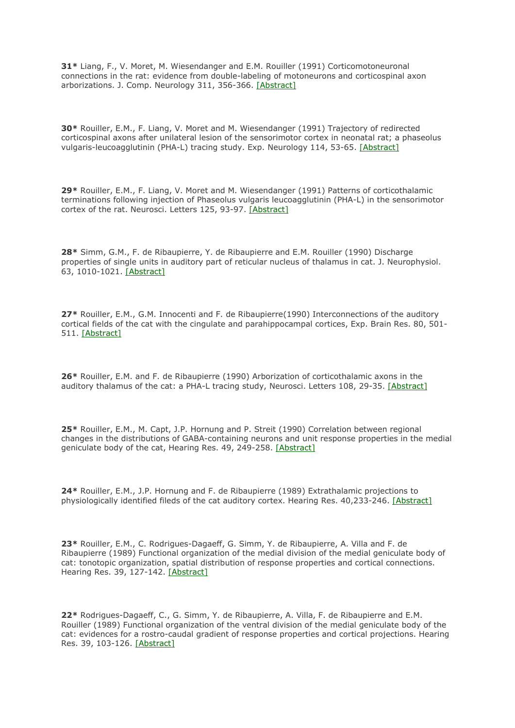**31\*** Liang, F., V. Moret, M. Wiesendanger and E.M. Rouiller (1991) Corticomotoneuronal connections in the rat: evidence from double-labeling of motoneurons and corticospinal axon arborizations. J. Comp. Neurology 311, 356-366. [\[Abstract\]](http://www.ncbi.nlm.nih.gov/entrez/query.fcgi?cmd=Retrieve&db=PubMed&list_uids=1720143&dopt=Abstract)

**30\*** Rouiller, E.M., F. Liang, V. Moret and M. Wiesendanger (1991) Trajectory of redirected corticospinal axons after unilateral lesion of the sensorimotor cortex in neonatal rat; a phaseolus vulgaris-leucoagglutinin (PHA-L) tracing study. Exp. Neurology 114, 53-65. [\[Abstract\]](http://www.ncbi.nlm.nih.gov/entrez/query.fcgi?cmd=Retrieve&db=PubMed&list_uids=1915735&dopt=Abstract)

**29\*** Rouiller, E.M., F. Liang, V. Moret and M. Wiesendanger (1991) Patterns of corticothalamic terminations following injection of Phaseolus vulgaris leucoagglutinin (PHA-L) in the sensorimotor cortex of the rat. Neurosci. Letters 125, 93-97. [\[Abstract\]](http://www.ncbi.nlm.nih.gov/entrez/query.fcgi?cmd=Retrieve&db=PubMed&list_uids=1713320&dopt=Abstract)

**28\*** Simm, G.M., F. de Ribaupierre, Y. de Ribaupierre and E.M. Rouiller (1990) Discharge properties of single units in auditory part of reticular nucleus of thalamus in cat. J. Neurophysiol. 63, 1010-1021. [\[Abstract\]](http://www.ncbi.nlm.nih.gov/entrez/query.fcgi?cmd=Retrieve&db=PubMed&list_uids=2358859&dopt=Abstract)

**27\*** Rouiller, E.M., G.M. Innocenti and F. de Ribaupierre(1990) Interconnections of the auditory cortical fields of the cat with the cingulate and parahippocampal cortices, Exp. Brain Res. 80, 501- 511. [\[Abstract\]](http://www.ncbi.nlm.nih.gov/entrez/query.fcgi?cmd=Retrieve&db=PubMed&list_uids=1696905&dopt=Abstract)

**26\*** Rouiller, E.M. and F. de Ribaupierre (1990) Arborization of corticothalamic axons in the auditory thalamus of the cat: a PHA-L tracing study, Neurosci. Letters 108, 29-35. [\[Abstract\]](http://www.ncbi.nlm.nih.gov/entrez/query.fcgi?cmd=Retrieve&db=PubMed&list_uids=2304635&dopt=Abstract)

**25\*** Rouiller, E.M., M. Capt, J.P. Hornung and P. Streit (1990) Correlation between regional changes in the distributions of GABA-containing neurons and unit response properties in the medial geniculate body of the cat, Hearing Res. 49, 249-258. [\[Abstract\]](http://www.ncbi.nlm.nih.gov/entrez/query.fcgi?cmd=Retrieve&db=PubMed&list_uids=2292499&dopt=Abstract)

**24\*** Rouiller, E.M., J.P. Hornung and F. de Ribaupierre (1989) Extrathalamic projections to physiologically identified fileds of the cat auditory cortex. Hearing Res. 40,233-246. [\[Abstract\]](http://www.ncbi.nlm.nih.gov/entrez/query.fcgi?cmd=Retrieve&db=PubMed&list_uids=2477353&dopt=Abstract)

**23\*** Rouiller, E.M., C. Rodrigues-Dagaeff, G. Simm, Y. de Ribaupierre, A. Villa and F. de Ribaupierre (1989) Functional organization of the medial division of the medial geniculate body of cat: tonotopic organization, spatial distribution of response properties and cortical connections. Hearing Res. 39, 127-142. [\[Abstract\]](http://www.ncbi.nlm.nih.gov/entrez/query.fcgi?cmd=Retrieve&db=PubMed&list_uids=2737960&dopt=Abstract)

**22\*** Rodrigues-Dagaeff, C., G. Simm, Y. de Ribaupierre, A. Villa, F. de Ribaupierre and E.M. Rouiller (1989) Functional organization of the ventral division of the medial geniculate body of the cat: evidences for a rostro-caudal gradient of response properties and cortical projections. Hearing Res. 39, 103-126. [\[Abstract\]](http://www.ncbi.nlm.nih.gov/entrez/query.fcgi?cmd=Retrieve&db=PubMed&list_uids=2737959&dopt=Abstract)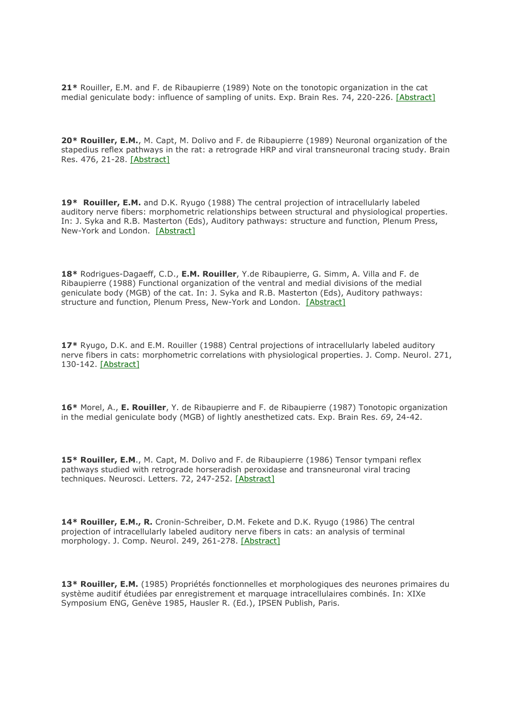**21\*** Rouiller, E.M. and F. de Ribaupierre (1989) Note on the tonotopic organization in the cat medial geniculate body: influence of sampling of units. Exp. Brain Res. 74, 220-226. [\[Abstract\]](http://www.ncbi.nlm.nih.gov/entrez/query.fcgi?cmd=Retrieve&db=PubMed&list_uids=2924838&dopt=Abstract)

**20\* Rouiller, E.M.**, M. Capt, M. Dolivo and F. de Ribaupierre (1989) Neuronal organization of the stapedius reflex pathways in the rat: a retrograde HRP and viral transneuronal tracing study. Brain Res. 476, 21-28. [\[Abstract\]](http://www.ncbi.nlm.nih.gov/pubmed/2464420)

**19\* Rouiller, E.M.** and D.K. Ryugo (1988) The central projection of intracellularly labeled auditory nerve fibers: morphometric relationships between structural and physiological properties. In: J. Syka and R.B. Masterton (Eds), Auditory pathways: structure and function, Plenum Press, New-York and London. [\[Abstract\]](http://www.ncbi.nlm.nih.gov/pubmed/3385008)

**18\*** Rodrigues-Dagaeff, C.D., **E.M. Rouiller**, Y.de Ribaupierre, G. Simm, A. Villa and F. de Ribaupierre (1988) Functional organization of the ventral and medial divisions of the medial geniculate body (MGB) of the cat. In: J. Syka and R.B. Masterton (Eds), Auditory pathways: structure and function, Plenum Press, New-York and London. [\[Abstract\]](http://www.ncbi.nlm.nih.gov/pubmed/2737960)

**17\*** Ryugo, D.K. and E.M. Rouiller (1988) Central projections of intracellularly labeled auditory nerve fibers in cats: morphometric correlations with physiological properties. J. Comp. Neurol. 271, 130-142. [\[Abstract\]](http://www.ncbi.nlm.nih.gov/entrez/query.fcgi?cmd=Retrieve&db=PubMed&list_uids=3385008&dopt=Abstract)

**16\*** Morel, A., **E. Rouiller**, Y. de Ribaupierre and F. de Ribaupierre (1987) Tonotopic organization in the medial geniculate body (MGB) of lightly anesthetized cats. Exp. Brain Res. *69*, 24-42.

**15\* Rouiller, E.M**., M. Capt, M. Dolivo and F. de Ribaupierre (1986) Tensor tympani reflex pathways studied with retrograde horseradish peroxidase and transneuronal viral tracing techniques. Neurosci. Letters. 72, 247-252. [\[Abstract\]](http://www.ncbi.nlm.nih.gov/entrez/query.fcgi?cmd=Retrieve&db=PubMed&list_uids=3029633&dopt=Abstract)

**14\* Rouiller, E.M., R.** Cronin-Schreiber, D.M. Fekete and D.K. Ryugo (1986) The central projection of intracellularly labeled auditory nerve fibers in cats: an analysis of terminal morphology. J. Comp. Neurol. 249, 261-278. [\[Abstract\]](http://www.ncbi.nlm.nih.gov/entrez/query.fcgi?cmd=Retrieve&db=PubMed&list_uids=3734159&dopt=Abstract)

**13\* Rouiller, E.M.** (1985) Propriétés fonctionnelles et morphologiques des neurones primaires du système auditif étudiées par enregistrement et marquage intracellulaires combinés. In: XIXe Symposium ENG, Genève 1985, Hausler R. (Ed.), IPSEN Publish, Paris.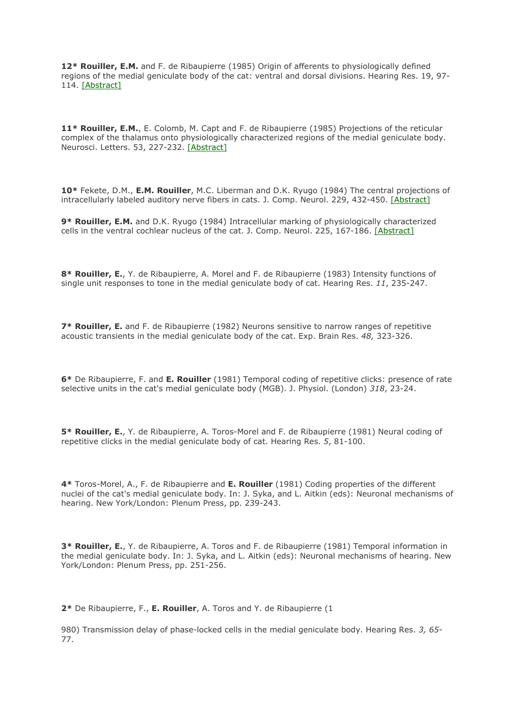**12\* Rouiller, E.M.** and F. de Ribaupierre (1985) Origin of afferents to physiologically defined regions of the medial geniculate body of the cat: ventral and dorsal divisions. Hearing Res. 19, 97- 114. [\[Abstract\]](http://www.ncbi.nlm.nih.gov/entrez/query.fcgi?cmd=Retrieve&db=PubMed&list_uids=4055537&dopt=Abstract)

**11\* Rouiller, E.M.**, E. Colomb, M. Capt and F. de Ribaupierre (1985) Projections of the reticular complex of the thalamus onto physiologically characterized regions of the medial geniculate body. Neurosci. Letters. 53, 227-232. [\[Abstract\]](http://www.ncbi.nlm.nih.gov/entrez/query.fcgi?cmd=Retrieve&db=PubMed&list_uids=3982709&dopt=Abstract)

**10\*** Fekete, D.M., **E.M. Rouiller**, M.C. Liberman and D.K. Ryugo (1984) The central projections of intracellularly labeled auditory nerve fibers in cats. J. Comp. Neurol. 229, 432-450. [\[Abstract\]](http://www.ncbi.nlm.nih.gov/entrez/query.fcgi?cmd=Retrieve&db=PubMed&list_uids=6209306&dopt=Abstract)

**9\* Rouiller, E.M.** and D.K. Ryugo (1984) Intracellular marking of physiologically characterized cells in the ventral cochlear nucleus of the cat. J. Comp. Neurol. 225, 167-186. [\[Abstract\]](http://www.ncbi.nlm.nih.gov/entrez/query.fcgi?cmd=Retrieve&db=PubMed&list_uids=6327782&dopt=Abstract)

**8\* Rouiller, E.**, Y. de Ribaupierre, A. Morel and F. de Ribaupierre (1983) Intensity functions of single unit responses to tone in the medial geniculate body of cat. Hearing Res. *11*, 235-247.

7\* Rouiller, E. and F. de Ribaupierre (1982) Neurons sensitive to narrow ranges of repetitive acoustic transients in the medial geniculate body of the cat. Exp. Brain Res. *48,* 323-326.

**6\*** De Ribaupierre, F. and **E. Rouiller** (1981) Temporal coding of repetitive clicks: presence of rate selective units in the cat's medial geniculate body (MGB). J. Physiol. (London) *318*, 23-24.

**5\* Rouiller, E.**, Y. de Ribaupierre, A. Toros-Morel and F. de Ribaupierre (1981) Neural coding of repetitive clicks in the medial geniculate body of cat. Hearing Res. *5*, 81-100.

**4\*** Toros-Morel, A., F. de Ribaupierre and **E. Rouiller** (1981) Coding properties of the different nuclei of the cat's medial geniculate body. In: J. Syka, and L. Aitkin (eds): Neuronal mechanisms of hearing. New York/London: Plenum Press, pp. 239-243.

**3\* Rouiller, E.**, Y. de Ribaupierre, A. Toros and F. de Ribaupierre (1981) Temporal information in the medial geniculate body. In: J. Syka, and L. Aitkin (eds): Neuronal mechanisms of hearing. New York/London: Plenum Press, pp. 251-256.

**2\*** De Ribaupierre, F., **E. Rouiller**, A. Toros and Y. de Ribaupierre (1

980) Transmission delay of phase-locked cells in the medial geniculate body. Hearing Res. *3, 65*- 77.